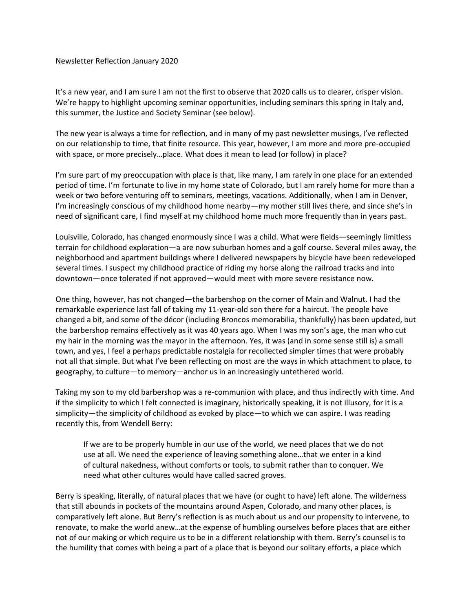Newsletter Reflection January 2020

It's a new year, and I am sure I am not the first to observe that 2020 calls us to clearer, crisper vision. We're happy to highlight upcoming seminar opportunities, including seminars this spring in Italy and, this summer, the Justice and Society Seminar (see below).

The new year is always a time for reflection, and in many of my past newsletter musings, I've reflected on our relationship to time, that finite resource. This year, however, I am more and more pre-occupied with space, or more precisely…place. What does it mean to lead (or follow) in place?

I'm sure part of my preoccupation with place is that, like many, I am rarely in one place for an extended period of time. I'm fortunate to live in my home state of Colorado, but I am rarely home for more than a week or two before venturing off to seminars, meetings, vacations. Additionally, when I am in Denver, I'm increasingly conscious of my childhood home nearby—my mother still lives there, and since she's in need of significant care, I find myself at my childhood home much more frequently than in years past.

Louisville, Colorado, has changed enormously since I was a child. What were fields—seemingly limitless terrain for childhood exploration—a are now suburban homes and a golf course. Several miles away, the neighborhood and apartment buildings where I delivered newspapers by bicycle have been redeveloped several times. I suspect my childhood practice of riding my horse along the railroad tracks and into downtown—once tolerated if not approved—would meet with more severe resistance now.

One thing, however, has not changed—the barbershop on the corner of Main and Walnut. I had the remarkable experience last fall of taking my 11-year-old son there for a haircut. The people have changed a bit, and some of the décor (including Broncos memorabilia, thankfully) has been updated, but the barbershop remains effectively as it was 40 years ago. When I was my son's age, the man who cut my hair in the morning was the mayor in the afternoon. Yes, it was (and in some sense still is) a small town, and yes, I feel a perhaps predictable nostalgia for recollected simpler times that were probably not all that simple. But what I've been reflecting on most are the ways in which attachment to place, to geography, to culture—to memory—anchor us in an increasingly untethered world.

Taking my son to my old barbershop was a re-communion with place, and thus indirectly with time. And if the simplicity to which I felt connected is imaginary, historically speaking, it is not illusory, for it is a simplicity—the simplicity of childhood as evoked by place—to which we can aspire. I was reading recently this, from Wendell Berry:

If we are to be properly humble in our use of the world, we need places that we do not use at all. We need the experience of leaving something alone…that we enter in a kind of cultural nakedness, without comforts or tools, to submit rather than to conquer. We need what other cultures would have called sacred groves.

Berry is speaking, literally, of natural places that we have (or ought to have) left alone. The wilderness that still abounds in pockets of the mountains around Aspen, Colorado, and many other places, is comparatively left alone. But Berry's reflection is as much about us and our propensity to intervene, to renovate, to make the world anew…at the expense of humbling ourselves before places that are either not of our making or which require us to be in a different relationship with them. Berry's counsel is to the humility that comes with being a part of a place that is beyond our solitary efforts, a place which